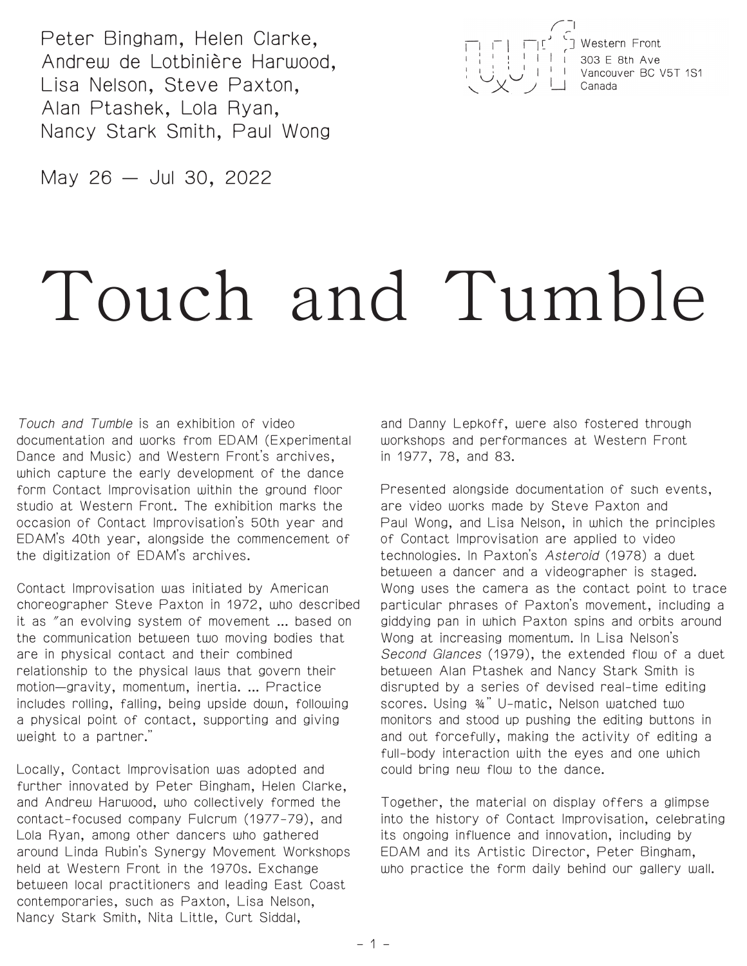Peter Bingham, Helen Clarke, Andrew de Lotbinière Harwood, Lisa Nelson, Steve Paxton, Alan Ptashek, Lola Ryan, Nancy Stark Smith, Paul Wong



May 26 — Jul 30, 2022

# Touch and Tumble

Touch and Tumble is an exhibition of video documentation and works from EDAM (Experimental Dance and Music) and Western Front's archives, which capture the early development of the dance form Contact Improvisation within the ground floor studio at Western Front. The exhibition marks the occasion of Contact Improvisation's 50th year and EDAM's 40th year, alongside the commencement of the digitization of EDAM's archives.

Contact Improvisation was initiated by American choreographer Steve Paxton in 1972, who described it as "an evolving system of movement ... based on the communication between two moving bodies that are in physical contact and their combined relationship to the physical laws that govern their motion—gravity, momentum, inertia. ... Practice includes rolling, falling, being upside down, following a physical point of contact, supporting and giving weight to a partner."

Locally, Contact Improvisation was adopted and further innovated by Peter Bingham, Helen Clarke, and Andrew Harwood, who collectively formed the contact-focused company Fulcrum (1977-79), and Lola Ryan, among other dancers who gathered around Linda Rubin's Synergy Movement Workshops held at Western Front in the 1970s. Exchange between local practitioners and leading East Coast contemporaries, such as Paxton, Lisa Nelson, Nancy Stark Smith, Nita Little, Curt Siddal,

and Danny Lepkoff, were also fostered through workshops and performances at Western Front in 1977, 78, and 83.

Presented alongside documentation of such events, are video works made by Steve Paxton and Paul Wong, and Lisa Nelson, in which the principles of Contact Improvisation are applied to video technologies. In Paxton's Asteroid (1978) a duet between a dancer and a videographer is staged. Wong uses the camera as the contact point to trace particular phrases of Paxton's movement, including a giddying pan in which Paxton spins and orbits around Wong at increasing momentum. In Lisa Nelson's Second Glances (1979), the extended flow of a duet between Alan Ptashek and Nancy Stark Smith is disrupted by a series of devised real-time editing scores. Using ¾" U-matic, Nelson watched two monitors and stood up pushing the editing buttons in and out forcefully, making the activity of editing a full-body interaction with the eyes and one which could bring new flow to the dance.

Together, the material on display offers a glimpse into the history of Contact Improvisation, celebrating its ongoing influence and innovation, including by EDAM and its Artistic Director, Peter Bingham, who practice the form daily behind our gallery wall.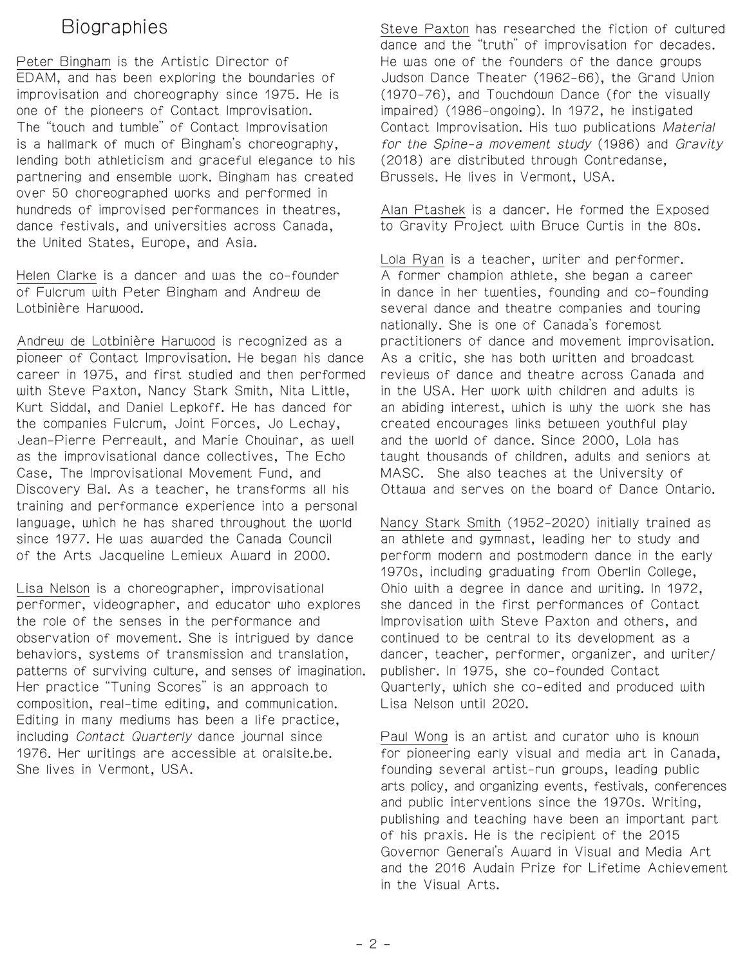## **Biographies**

Peter Bingham is the Artistic Director of EDAM, and has been exploring the boundaries of improvisation and choreography since 1975. He is one of the pioneers of Contact Improvisation. The "touch and tumble" of Contact Improvisation is a hallmark of much of Bingham's choreography, lending both athleticism and graceful elegance to his partnering and ensemble work. Bingham has created over 50 choreographed works and performed in hundreds of improvised performances in theatres, dance festivals, and universities across Canada, the United States, Europe, and Asia.

Helen Clarke is a dancer and was the co-founder of Fulcrum with Peter Bingham and Andrew de Lotbinière Harwood.

Andrew de Lotbinière Harwood is recognized as a pioneer of Contact Improvisation. He began his dance career in 1975, and first studied and then performed with Steve Paxton, Nancy Stark Smith, Nita Little, Kurt Siddal, and Daniel Lepkoff. He has danced for the companies Fulcrum, Joint Forces, Jo Lechay, Jean-Pierre Perreault, and Marie Chouinar, as well as the improvisational dance collectives, The Echo Case, The Improvisational Movement Fund, and Discovery Bal. As a teacher, he transforms all his training and performance experience into a personal language, which he has shared throughout the world since 1977. He was awarded the Canada Council of the Arts Jacqueline Lemieux Award in 2000.

Lisa Nelson is a choreographer, improvisational performer, videographer, and educator who explores the role of the senses in the performance and observation of movement. She is intrigued by dance behaviors, systems of transmission and translation, patterns of surviving culture, and senses of imagination. Her practice "Tuning Scores" is an approach to composition, real-time editing, and communication. Editing in many mediums has been a life practice, including Contact Quarterly dance journal since 1976. Her writings are accessible at oralsite.be. She lives in Vermont, USA.

Steve Paxton has researched the fiction of cultured dance and the "truth" of improvisation for decades. He was one of the founders of the dance groups Judson Dance Theater (1962-66), the Grand Union (1970-76), and Touchdown Dance (for the visually impaired) (1986-ongoing). In 1972, he instigated Contact Improvisation. His two publications Material for the Spine-a movement study (1986) and Gravity (2018) are distributed through Contredanse, Brussels. He lives in Vermont, USA.

Alan Ptashek is a dancer. He formed the Exposed to Gravity Project with Bruce Curtis in the 80s.

Lola Ryan is a teacher, writer and performer. A former champion athlete, she began a career in dance in her twenties, founding and co-founding several dance and theatre companies and touring nationally. She is one of Canada's foremost practitioners of dance and movement improvisation. As a critic, she has both written and broadcast reviews of dance and theatre across Canada and in the USA. Her work with children and adults is an abiding interest, which is why the work she has created encourages links between youthful play and the world of dance. Since 2000, Lola has taught thousands of children, adults and seniors at MASC. She also teaches at the University of Ottawa and serves on the board of Dance Ontario.

Nancy Stark Smith (1952-2020) initially trained as an athlete and gymnast, leading her to study and perform modern and postmodern dance in the early 1970s, including graduating from Oberlin College, Ohio with a degree in dance and writing. In 1972, she danced in the first performances of Contact Improvisation with Steve Paxton and others, and continued to be central to its development as a dancer, teacher, performer, organizer, and writer/ publisher. In 1975, she co-founded Contact Quarterly, which she co-edited and produced with Lisa Nelson until 2020.

Paul Wong is an artist and curator who is known for pioneering early visual and media art in Canada, founding several artist-run groups, leading public arts policy, and organizing events, festivals, conferences and public interventions since the 1970s. Writing, publishing and teaching have been an important part of his praxis. He is the recipient of the 2015 Governor General's Award in Visual and Media Art and the 2016 Audain Prize for Lifetime Achievement in the Visual Arts.